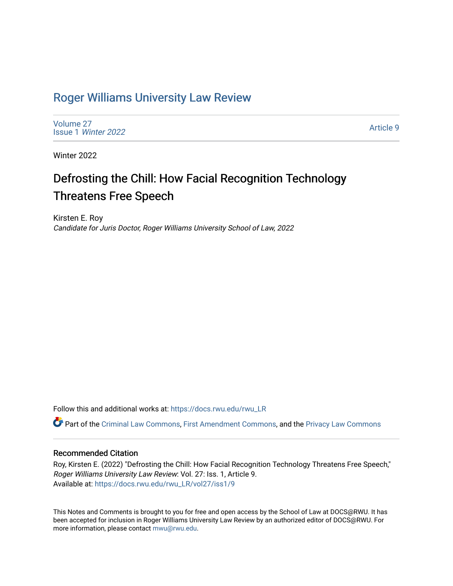## [Roger Williams University Law Review](https://docs.rwu.edu/rwu_LR)

[Volume 27](https://docs.rwu.edu/rwu_LR/vol27) Issue 1 [Winter 2022](https://docs.rwu.edu/rwu_LR/vol27/iss1) 

[Article 9](https://docs.rwu.edu/rwu_LR/vol27/iss1/9) 

Winter 2022

# Defrosting the Chill: How Facial Recognition Technology Threatens Free Speech

Kirsten E. Roy Candidate for Juris Doctor, Roger Williams University School of Law, 2022

Follow this and additional works at: [https://docs.rwu.edu/rwu\\_LR](https://docs.rwu.edu/rwu_LR?utm_source=docs.rwu.edu%2Frwu_LR%2Fvol27%2Fiss1%2F9&utm_medium=PDF&utm_campaign=PDFCoverPages) 

Part of the [Criminal Law Commons,](http://network.bepress.com/hgg/discipline/912?utm_source=docs.rwu.edu%2Frwu_LR%2Fvol27%2Fiss1%2F9&utm_medium=PDF&utm_campaign=PDFCoverPages) [First Amendment Commons](http://network.bepress.com/hgg/discipline/1115?utm_source=docs.rwu.edu%2Frwu_LR%2Fvol27%2Fiss1%2F9&utm_medium=PDF&utm_campaign=PDFCoverPages), and the [Privacy Law Commons](http://network.bepress.com/hgg/discipline/1234?utm_source=docs.rwu.edu%2Frwu_LR%2Fvol27%2Fiss1%2F9&utm_medium=PDF&utm_campaign=PDFCoverPages)

## Recommended Citation

Roy, Kirsten E. (2022) "Defrosting the Chill: How Facial Recognition Technology Threatens Free Speech," Roger Williams University Law Review: Vol. 27: Iss. 1, Article 9. Available at: [https://docs.rwu.edu/rwu\\_LR/vol27/iss1/9](https://docs.rwu.edu/rwu_LR/vol27/iss1/9?utm_source=docs.rwu.edu%2Frwu_LR%2Fvol27%2Fiss1%2F9&utm_medium=PDF&utm_campaign=PDFCoverPages) 

This Notes and Comments is brought to you for free and open access by the School of Law at DOCS@RWU. It has been accepted for inclusion in Roger Williams University Law Review by an authorized editor of DOCS@RWU. For more information, please contact [mwu@rwu.edu](mailto:mwu@rwu.edu).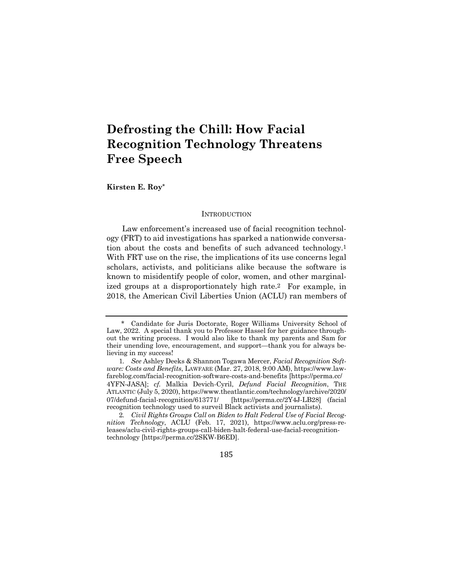## **Defrosting the Chill: How Facial Recognition Technology Threatens Free Speech**

**Kirsten E. Roy\***

#### **INTRODUCTION**

Law enforcement's increased use of facial recognition technology (FRT) to aid investigations has sparked a nationwide conversation about the costs and benefits of such advanced technology.1 With FRT use on the rise, the implications of its use concerns legal scholars, activists, and politicians alike because the software is known to misidentify people of color, women, and other marginalized groups at a disproportionately high rate.2 For example, in 2018, the American Civil Liberties Union (ACLU) ran members of

185

Candidate for Juris Doctorate, Roger Williams University School of Law, 2022. A special thank you to Professor Hassel for her guidance throughout the writing process. I would also like to thank my parents and Sam for their unending love, encouragement, and support—thank you for always believing in my success!

<sup>1</sup>*. See* Ashley Deeks & Shannon Togawa Mercer, *Facial Recognition Software: Costs and Benefits*, LAWFARE (Mar. 27, 2018, 9:00 AM), https://www.lawfareblog.com/facial-recognition-software-costs-and-benefits [https://perma.cc/ 4YFN-JASA]; *cf.* Malkia Devich-Cyril, *Defund Facial Recognition*, THE ATLANTIC (July 5, 2020), https://www.theatlantic.com/technology/archive/2020/ 07/defund-facial-recognition/613771/ [https://perma.cc/2Y4J-LB28] (facial recognition technology used to surveil Black activists and journalists).

<sup>2</sup>*. Civil Rights Groups Call on Biden to Halt Federal Use of Facial Recognition Technology*, ACLU (Feb. 17, 2021), https://www.aclu.org/press-releases/aclu-civil-rights-groups-call-biden-halt-federal-use-facial-recognitiontechnology [https://perma.cc/2SKW-B6ED].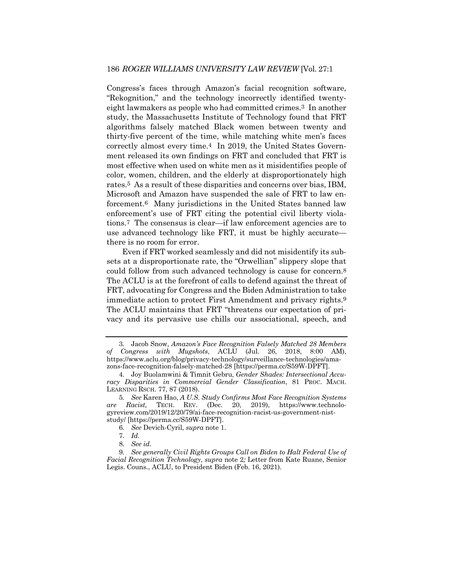Congress's faces through Amazon's facial recognition software, "Rekognition," and the technology incorrectly identified twentyeight lawmakers as people who had committed crimes.3 In another study, the Massachusetts Institute of Technology found that FRT algorithms falsely matched Black women between twenty and thirty-five percent of the time, while matching white men's faces correctly almost every time.4 In 2019, the United States Government released its own findings on FRT and concluded that FRT is most effective when used on white men as it misidentifies people of color, women, children, and the elderly at disproportionately high rates.5 As a result of these disparities and concerns over bias, IBM, Microsoft and Amazon have suspended the sale of FRT to law enforcement.6 Many jurisdictions in the United States banned law enforcement's use of FRT citing the potential civil liberty violations.7 The consensus is clear—if law enforcement agencies are to use advanced technology like FRT, it must be highly accurate there is no room for error.

Even if FRT worked seamlessly and did not misidentify its subsets at a disproportionate rate, the "Orwellian" slippery slope that could follow from such advanced technology is cause for concern.8 The ACLU is at the forefront of calls to defend against the threat of FRT, advocating for Congress and the Biden Administration to take immediate action to protect First Amendment and privacy rights.9 The ACLU maintains that FRT "threatens our expectation of privacy and its pervasive use chills our associational, speech, and

<sup>3.</sup> Jacob Snow, *Amazon's Face Recognition Falsely Matched 28 Members of Congress with Mugshots*, ACLU (Jul. 26, 2018, 8:00 AM), https://www.aclu.org/blog/privacy-technology/surveillance-technologies/amazons-face-recognition-falsely-matched-28 [https://perma.cc/S59W-DPFT].

<sup>4.</sup> Joy Buolamwini & Timnit Gebru, *Gender Shades: Intersectional Accuracy Disparities in Commercial Gender Classification*, 81 PROC. MACH. LEARNING RSCH. 77, 87 (2018).

<sup>5</sup>*. See* Karen Hao, *A U.S. Study Confirms Most Face Recognition Systems are Racist,* TECH. REV. (Dec. 20, 2019), https://www.technologyreview.com/2019/12/20/79/ai-face-recognition-racist-us-government-niststudy/ [https://perma.cc/S59W-DPFT].

<sup>6</sup>*. See* Devich-Cyril, *supra* note 1.

<sup>7</sup>*. Id.*

<sup>8</sup>*. See id.*

<sup>9</sup>*. See generally Civil Rights Groups Call on Biden to Halt Federal Use of Facial Recognition Technology*, *supra* note 2*;* Letter from Kate Ruane, Senior Legis. Couns., ACLU, to President Biden (Feb. 16, 2021).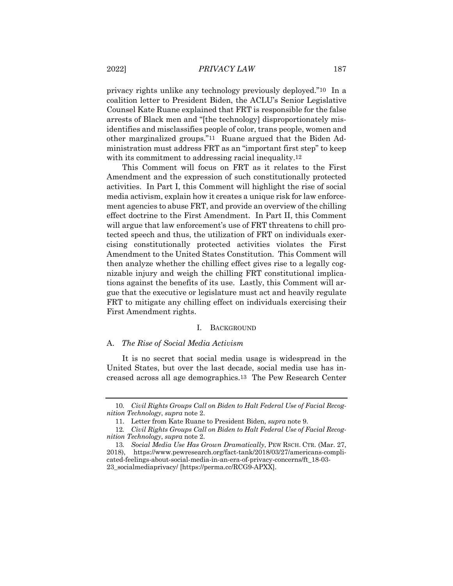privacy rights unlike any technology previously deployed."10 In a coalition letter to President Biden, the ACLU's Senior Legislative Counsel Kate Ruane explained that FRT is responsible for the false arrests of Black men and "[the technology] disproportionately misidentifies and misclassifies people of color, trans people, women and other marginalized groups."11 Ruane argued that the Biden Administration must address FRT as an "important first step" to keep with its commitment to addressing racial inequality.<sup>12</sup>

This Comment will focus on FRT as it relates to the First Amendment and the expression of such constitutionally protected activities. In Part I, this Comment will highlight the rise of social media activism, explain how it creates a unique risk for law enforcement agencies to abuse FRT, and provide an overview of the chilling effect doctrine to the First Amendment. In Part II, this Comment will argue that law enforcement's use of FRT threatens to chill protected speech and thus, the utilization of FRT on individuals exercising constitutionally protected activities violates the First Amendment to the United States Constitution. This Comment will then analyze whether the chilling effect gives rise to a legally cognizable injury and weigh the chilling FRT constitutional implications against the benefits of its use. Lastly, this Comment will argue that the executive or legislature must act and heavily regulate FRT to mitigate any chilling effect on individuals exercising their First Amendment rights.

#### I. BACKGROUND

#### A. *The Rise of Social Media Activism*

It is no secret that social media usage is widespread in the United States, but over the last decade, social media use has increased across all age demographics.13 The Pew Research Center

<sup>10</sup>*. Civil Rights Groups Call on Biden to Halt Federal Use of Facial Recognition Technology*, *supra* note 2.

<sup>11.</sup> Letter from Kate Ruane to President Biden, *supra* note 9.

<sup>12</sup>*. Civil Rights Groups Call on Biden to Halt Federal Use of Facial Recognition Technology*, *supra* note 2.

<sup>13</sup>*. Social Media Use Has Grown Dramatically*, PEW RSCH. CTR. (Mar. 27, 2018), https://www.pewresearch.org/fact-tank/2018/03/27/americans-complicated-feelings-about-social-media-in-an-era-of-privacy-concerns/ft\_18-03- 23\_socialmediaprivacy/ [https://perma.cc/RCG9-APXX].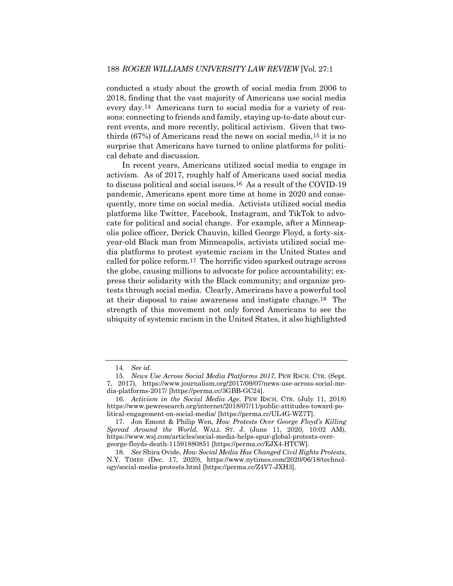conducted a study about the growth of social media from 2006 to 2018, finding that the vast majority of Americans use social media every day.14 Americans turn to social media for a variety of reasons: connecting to friends and family, staying up-to-date about current events, and more recently, political activism. Given that twothirds (67%) of Americans read the news on social media,15 it is no surprise that Americans have turned to online platforms for political debate and discussion.

In recent years, Americans utilized social media to engage in activism. As of 2017, roughly half of Americans used social media to discuss political and social issues.16 As a result of the COVID-19 pandemic, Americans spent more time at home in 2020 and consequently, more time on social media. Activists utilized social media platforms like Twitter, Facebook, Instagram, and TikTok to advocate for political and social change. For example, after a Minneapolis police officer, Derick Chauvin, killed George Floyd, a forty-sixyear-old Black man from Minneapolis, activists utilized social media platforms to protest systemic racism in the United States and called for police reform.17 The horrific video sparked outrage across the globe, causing millions to advocate for police accountability; express their solidarity with the Black community; and organize protests through social media. Clearly, Americans have a powerful tool at their disposal to raise awareness and instigate change.18 The strength of this movement not only forced Americans to see the ubiquity of systemic racism in the United States, it also highlighted

<sup>14</sup>*. See id*.

<sup>15</sup>*. News Use Across Social Media Platforms 2017*, PEW RSCH. CTR. (Sept. 7, 2017), https://www.journalism.org/2017/09/07/news-use-across-social-me-

dia-platforms-2017/ [https://perma.cc/3GBB-GC24].

<sup>16</sup>*. Activism in the Social Media Age*, PEW RSCH. CTR. (July 11, 2018) https://www.pewresearch.org/internet/2018/07/11/public-attitudes-toward-political-engagement-on-social-media/ [https://perma.cc/UL4G-WZ7T].

<sup>17.</sup> Jon Emont & Philip Wen, *How Protests Over George Floyd's Killing Spread Around the World*, WALL ST. J. (June 11, 2020, 10:02 AM), https://www.wsj.com/articles/social-media-helps-spur-global-protests-overgeorge-floyds-death-11591880851 [https://perma.cc/EJX4-HTCW].

<sup>18</sup>*. See* Shira Ovide, *How Social Media Has Changed Civil Rights Protests*, N.Y. TIMES (Dec. 17, 2020), https://www.nytimes.com/2020/06/18/technology/social-media-protests.html [https://perma.cc/Z4V7-JXH3].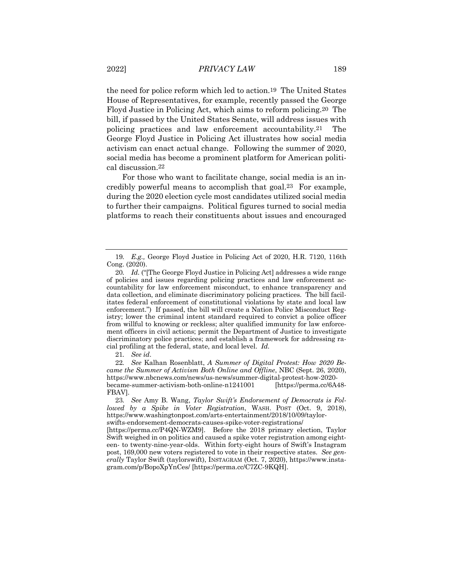the need for police reform which led to action.19 The United States House of Representatives, for example, recently passed the George Floyd Justice in Policing Act, which aims to reform policing.20 The bill, if passed by the United States Senate, will address issues with policing practices and law enforcement accountability.21 The George Floyd Justice in Policing Act illustrates how social media activism can enact actual change. Following the summer of 2020, social media has become a prominent platform for American political discussion.22

For those who want to facilitate change, social media is an incredibly powerful means to accomplish that goal.23 For example, during the 2020 election cycle most candidates utilized social media to further their campaigns. Political figures turned to social media platforms to reach their constituents about issues and encouraged

21*. See id*.

22*. See* Kalhan Rosenblatt, *A Summer of Digital Protest: How 2020 Became the Summer of Activism Both Online and Offline*, NBC (Sept. 26, 2020), https://www.nbcnews.com/news/us-news/summer-digital-protest-how-2020 became-summer-activism-both-online-n1241001 [https://perma.cc/6A48- FBAV].

<sup>19</sup>*. E.g.,* George Floyd Justice in Policing Act of 2020, H.R. 7120, 116th Cong. (2020).

<sup>20</sup>*. Id.* ("[The George Floyd Justice in Policing Act] addresses a wide range of policies and issues regarding policing practices and law enforcement accountability for law enforcement misconduct, to enhance transparency and data collection, and eliminate discriminatory policing practices. The bill facilitates federal enforcement of constitutional violations by state and local law enforcement.") If passed, the bill will create a Nation Police Misconduct Registry; lower the criminal intent standard required to convict a police officer from willful to knowing or reckless; alter qualified immunity for law enforcement officers in civil actions; permit the Department of Justice to investigate discriminatory police practices; and establish a framework for addressing racial profiling at the federal, state, and local level. *Id.*

<sup>23</sup>*. See* Amy B. Wang, *Taylor Swift's Endorsement of Democrats is Followed by a Spike in Voter Registration*, WASH. POST (Oct. 9, 2018), https://www.washingtonpost.com/arts-entertainment/2018/10/09/taylorswifts-endorsement-democrats-causes-spike-voter-registrations/

<sup>[</sup>https://perma.cc/P4QN-WZM9]. Before the 2018 primary election, Taylor Swift weighed in on politics and caused a spike voter registration among eighteen- to twenty-nine-year-olds. Within forty-eight hours of Swift's Instagram post, 169,000 new voters registered to vote in their respective states. *See generally* Taylor Swift (taylorswift), INSTAGRAM (Oct. 7, 2020), https://www.instagram.com/p/BopoXpYnCes/ [https://perma.cc/C7ZC-9KQH].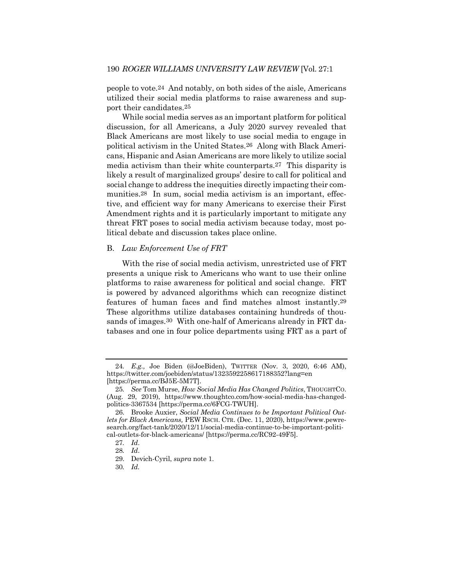people to vote.24 And notably, on both sides of the aisle, Americans utilized their social media platforms to raise awareness and support their candidates.25

While social media serves as an important platform for political discussion, for all Americans, a July 2020 survey revealed that Black Americans are most likely to use social media to engage in political activism in the United States.26 Along with Black Americans, Hispanic and Asian Americans are more likely to utilize social media activism than their white counterparts.27 This disparity is likely a result of marginalized groups' desire to call for political and social change to address the inequities directly impacting their communities.28 In sum, social media activism is an important, effective, and efficient way for many Americans to exercise their First Amendment rights and it is particularly important to mitigate any threat FRT poses to social media activism because today, most political debate and discussion takes place online.

### B. *Law Enforcement Use of FRT*

With the rise of social media activism, unrestricted use of FRT presents a unique risk to Americans who want to use their online platforms to raise awareness for political and social change. FRT is powered by advanced algorithms which can recognize distinct features of human faces and find matches almost instantly.29 These algorithms utilize databases containing hundreds of thousands of images.30 With one-half of Americans already in FRT databases and one in four police departments using FRT as a part of

<sup>24</sup>*. E.g.,* Joe Biden (@JoeBiden), TWITTER (Nov. 3, 2020, 6:46 AM), https://twitter.com/joebiden/status/1323592258617188352?lang=en [https://perma.cc/BJ5E-5M7T].

<sup>25</sup>*. See* Tom Murse, *How Social Media Has Changed Politics*, THOUGHTCO. (Aug. 29, 2019), https://www.thoughtco.com/how-social-media-has-changedpolitics-3367534 [https://perma.cc/6FCG-TWUH].

<sup>26.</sup> Brooke Auxier, *Social Media Continues to be Important Political Outlets for Black Americans,* PEW RSCH. CTR. (Dec. 11, 2020), https://www.pewresearch.org/fact-tank/2020/12/11/social-media-continue-to-be-important-political-outlets-for-black-americans/ [https://perma.cc/RC92-49F5].

<sup>27</sup>*. Id*.

<sup>28</sup>*. Id*.

<sup>29.</sup> Devich-Cyril, *supra* note 1.

<sup>30</sup>*. Id.*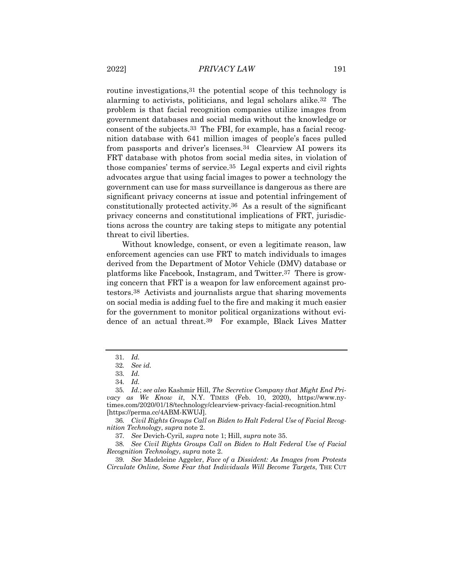routine investigations,31 the potential scope of this technology is alarming to activists, politicians, and legal scholars alike.32 The problem is that facial recognition companies utilize images from government databases and social media without the knowledge or consent of the subjects.33 The FBI, for example, has a facial recognition database with 641 million images of people's faces pulled from passports and driver's licenses.34 Clearview AI powers its FRT database with photos from social media sites, in violation of those companies' terms of service.35 Legal experts and civil rights advocates argue that using facial images to power a technology the government can use for mass surveillance is dangerous as there are significant privacy concerns at issue and potential infringement of constitutionally protected activity.36 As a result of the significant privacy concerns and constitutional implications of FRT, jurisdictions across the country are taking steps to mitigate any potential threat to civil liberties.

Without knowledge, consent, or even a legitimate reason, law enforcement agencies can use FRT to match individuals to images derived from the Department of Motor Vehicle (DMV) database or platforms like Facebook, Instagram, and Twitter.37 There is growing concern that FRT is a weapon for law enforcement against protestors.38 Activists and journalists argue that sharing movements on social media is adding fuel to the fire and making it much easier for the government to monitor political organizations without evidence of an actual threat.39 For example, Black Lives Matter

<sup>31</sup>*. Id.*

<sup>32</sup>*. See id.*

<sup>33</sup>*. Id.*

<sup>34</sup>*. Id.*

<sup>35</sup>*. Id.*; *see also* Kashmir Hill, *The Secretive Company that Might End Privacy as We Know it*, N.Y. TIMES (Feb. 10, 2020), https://www.nytimes.com/2020/01/18/technology/clearview-privacy-facial-recognition.html [https://perma.cc/4ABM-KWUJ].

<sup>36</sup>*. Civil Rights Groups Call on Biden to Halt Federal Use of Facial Recognition Technology*, *supra* note 2.

<sup>37</sup>*. See* Devich-Cyril, *supra* note 1; Hill, *supra* note 35.

<sup>38</sup>*. See Civil Rights Groups Call on Biden to Halt Federal Use of Facial Recognition Technology*, *supra* note 2.

<sup>39</sup>*. See* Madeleine Aggeler, *Face of a Dissident: As Images from Protests Circulate Online, Some Fear that Individuals Will Become Targets*, THE CUT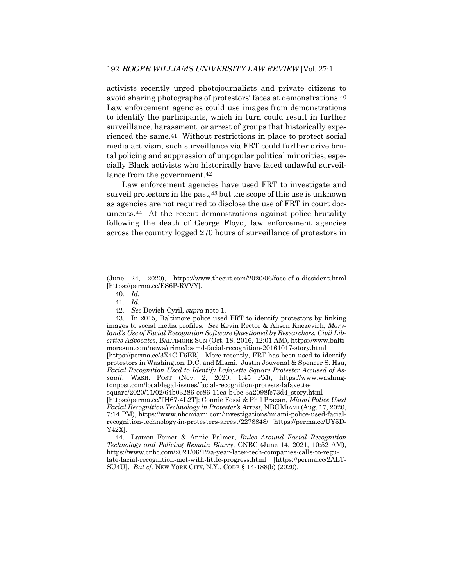activists recently urged photojournalists and private citizens to avoid sharing photographs of protestors' faces at demonstrations.40 Law enforcement agencies could use images from demonstrations to identify the participants, which in turn could result in further surveillance, harassment, or arrest of groups that historically experienced the same.41 Without restrictions in place to protect social media activism, such surveillance via FRT could further drive brutal policing and suppression of unpopular political minorities, especially Black activists who historically have faced unlawful surveillance from the government.42

Law enforcement agencies have used FRT to investigate and surveil protestors in the past,43 but the scope of this use is unknown as agencies are not required to disclose the use of FRT in court documents.44 At the recent demonstrations against police brutality following the death of George Floyd, law enforcement agencies across the country logged 270 hours of surveillance of protestors in

<sup>(</sup>June 24, 2020), https://www.thecut.com/2020/06/face-of-a-dissident.html [https://perma.cc/ES6P-RVVY].

<sup>40</sup>*. Id.*

<sup>41</sup>*. Id.*

<sup>42</sup>*. See* Devich-Cyril, *supra* note 1.

<sup>43.</sup> In 2015, Baltimore police used FRT to identify protestors by linking images to social media profiles. *See* Kevin Rector & Alison Knezevich, *Maryland's Use of Facial Recognition Software Questioned by Researchers, Civil Liberties Advocates*, BALTIMORE SUN (Oct. 18, 2016, 12:01 AM), https://www.baltimoresun.com/news/crime/bs-md-facial-recognition-20161017-story.html [https://perma.cc/3X4C-F6ER]. More recently, FRT has been used to identify protestors in Washington, D.C. and Miami. Justin Jouvenal & Spencer S. Hsu, *Facial Recognition Used to Identify Lafayette Square Protester Accused of Assault*, WASH. POST (Nov. 2, 2020, 1:45 PM), https://www.washingtonpost.com/local/legal-issues/facial-recognition-protests-lafayettesquare/2020/11/02/64b03286-ec86-11ea-b4bc-3a2098fc73d4\_story.html [https://perma.cc/TH67-4L2T]; Connie Fossi & Phil Prazan, *Miami Police Used Facial Recognition Technology in Protester's Arrest*, NBC MIAMI (Aug. 17, 2020, 7:14 PM), https://www.nbcmiami.com/investigations/miami-police-used-facialrecognition-technology-in-protesters-arrest/2278848/ [https://perma.cc/UY5D-

Y42X].

<sup>44.</sup> Lauren Feiner & Annie Palmer, *Rules Around Facial Recognition Technology and Policing Remain Blurry*, CNBC (June 14, 2021, 10:52 AM), https://www.cnbc.com/2021/06/12/a-year-later-tech-companies-calls-to-regulate-facial-recognition-met-with-little-progress.html [https://perma.cc/2ALT-SU4U]. *But cf.* NEW YORK CITY, N.Y., CODE § 14-188(b) (2020).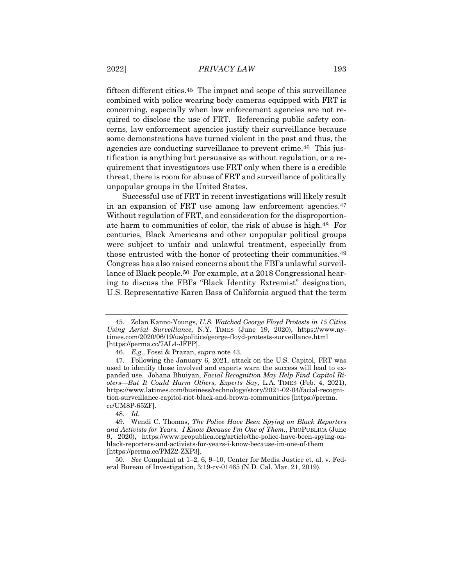fifteen different cities.45 The impact and scope of this surveillance combined with police wearing body cameras equipped with FRT is concerning, especially when law enforcement agencies are not required to disclose the use of FRT. Referencing public safety concerns, law enforcement agencies justify their surveillance because some demonstrations have turned violent in the past and thus, the agencies are conducting surveillance to prevent crime.46 This justification is anything but persuasive as without regulation, or a requirement that investigators use FRT only when there is a credible threat, there is room for abuse of FRT and surveillance of politically unpopular groups in the United States.

Successful use of FRT in recent investigations will likely result in an expansion of FRT use among law enforcement agencies.47 Without regulation of FRT, and consideration for the disproportionate harm to communities of color, the risk of abuse is high.48 For centuries, Black Americans and other unpopular political groups were subject to unfair and unlawful treatment, especially from those entrusted with the honor of protecting their communities.49 Congress has also raised concerns about the FBI's unlawful surveillance of Black people.50 For example, at a 2018 Congressional hearing to discuss the FBI's "Black Identity Extremist" designation, U.S. Representative Karen Bass of California argued that the term

48*. Id*.

<sup>45.</sup> Zolan Kanno-Youngs, *U.S. Watched George Floyd Protests in 15 Cities Using Aerial Surveillance*, N.Y. TIMES (June 19, 2020), https://www.nytimes.com/2020/06/19/us/politics/george-floyd-protests-surveillance.html [https://perma.cc/7AL4-JFPP].

<sup>46</sup>*. E.g.,* Fossi & Prazan, *supra* note 43.

<sup>47.</sup> Following the January 6, 2021, attack on the U.S. Capitol, FRT was used to identify those involved and experts warn the success will lead to expanded use. Johana Bhuiyan, *Facial Recognition May Help Find Capitol Rioters—But It Could Harm Others, Experts Say*, L.A. TIMES (Feb. 4, 2021), https://www.latimes.com/business/technology/story/2021-02-04/facial-recognition-surveillance-capitol-riot-black-and-brown-communities [https://perma. cc/UM8P-65ZF].

<sup>49.</sup> Wendi C. Thomas, *The Police Have Been Spying on Black Reporters and Activists for Years. I Know Because I'm One of Them.*, PROPUBLICA (June 9, 2020), https://www.propublica.org/article/the-police-have-been-spying-onblack-reporters-and-activists-for-years-i-know-because-im-one-of-them [https://perma.cc/PMZ2-ZXP3].

<sup>50</sup>*. See* Complaint at 1–2, 6, 9–10, Center for Media Justice et. al. v. Federal Bureau of Investigation, 3:19-cv-01465 (N.D. Cal. Mar. 21, 2019).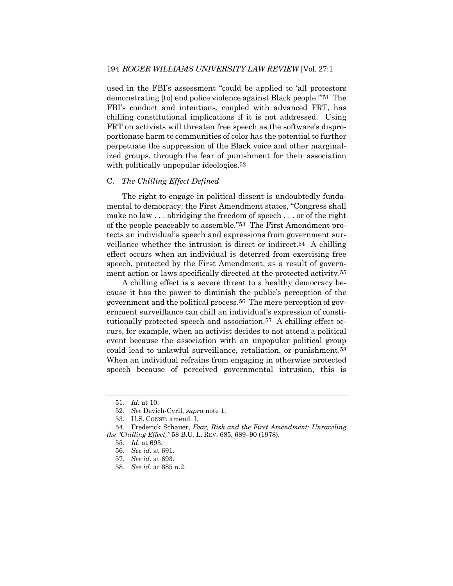used in the FBI's assessment "could be applied to 'all protestors demonstrating [to] end police violence against Black people.'"51 The FBI's conduct and intentions, coupled with advanced FRT, has chilling constitutional implications if it is not addressed. Using FRT on activists will threaten free speech as the software's disproportionate harm to communities of color has the potential to further perpetuate the suppression of the Black voice and other marginalized groups, through the fear of punishment for their association with politically unpopular ideologies.<sup>52</sup>

## C. *The Chilling Effect Defined*

The right to engage in political dissent is undoubtedly fundamental to democracy: the First Amendment states, "Congress shall make no law . . . abridging the freedom of speech . . . or of the right of the people peaceably to assemble."53 The First Amendment protects an individual's speech and expressions from government surveillance whether the intrusion is direct or indirect.54 A chilling effect occurs when an individual is deterred from exercising free speech, protected by the First Amendment, as a result of government action or laws specifically directed at the protected activity.55

A chilling effect is a severe threat to a healthy democracy because it has the power to diminish the public's perception of the government and the political process.56 The mere perception of government surveillance can chill an individual's expression of constitutionally protected speech and association.57 A chilling effect occurs, for example, when an activist decides to not attend a political event because the association with an unpopular political group could lead to unlawful surveillance, retaliation, or punishment.58 When an individual refrains from engaging in otherwise protected speech because of perceived governmental intrusion, this is

<sup>51</sup>*. Id.* at 10.

<sup>52</sup>*. See* Devich-Cyril, *supra* note 1.

<sup>53.</sup> U.S. CONST. amend. I.

<sup>54.</sup> Frederick Schauer, *Fear, Risk and the First Amendment: Unraveling the "Chilling Effect,"* 58 B.U. L. REV. 685, 689–90 (1978).

<sup>55</sup>*. Id*. at 693.

<sup>56</sup>*. See id*. at 691.

<sup>57</sup>*. See id.* at 693.

<sup>58</sup>*. See id.* at 685 n.2.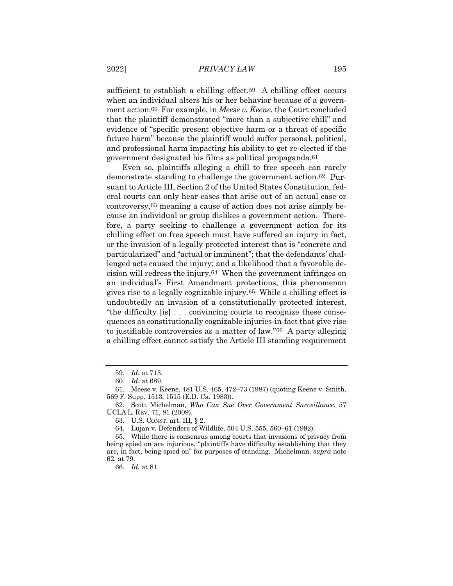sufficient to establish a chilling effect.<sup>59</sup> A chilling effect occurs when an individual alters his or her behavior because of a government action.60 For example, in *Meese v. Keene*, the Court concluded that the plaintiff demonstrated "more than a subjective chill" and evidence of "specific present objective harm or a threat of specific future harm" because the plaintiff would suffer personal, political, and professional harm impacting his ability to get re-elected if the government designated his films as political propaganda.61

Even so, plaintiffs alleging a chill to free speech can rarely demonstrate standing to challenge the government action.62 Pursuant to Article III, Section 2 of the United States Constitution, federal courts can only hear cases that arise out of an actual case or controversy,63 meaning a cause of action does not arise simply because an individual or group dislikes a government action. Therefore, a party seeking to challenge a government action for its chilling effect on free speech must have suffered an injury in fact, or the invasion of a legally protected interest that is "concrete and particularized" and "actual or imminent"; that the defendants' challenged acts caused the injury; and a likelihood that a favorable decision will redress the injury.64 When the government infringes on an individual's First Amendment protections, this phenomenon gives rise to a legally cognizable injury.65 While a chilling effect is undoubtedly an invasion of a constitutionally protected interest, "the difficulty [is] . . . convincing courts to recognize these consequences as constitutionally cognizable injuries-in-fact that give rise to justifiable controversies as a matter of law."66 A party alleging a chilling effect cannot satisfy the Article III standing requirement

<sup>59</sup>*. Id*. at 713.

<sup>60</sup>*. Id*. at 689.

<sup>61.</sup> Meese v. Keene, 481 U.S. 465, 472–73 (1987) (quoting Keene v. Smith, 569 F. Supp. 1513, 1515 (E.D. Ca. 1983)).

<sup>62.</sup> Scott Michelman, *Who Can Sue Over Government Surveillance*, 57 UCLA L. REV. 71, 81 (2009).

<sup>63.</sup> U.S. CONST. art. III, § 2.

<sup>64.</sup> Lujan v. Defenders of Wildlife, 504 U.S. 555, 560–61 (1992).

<sup>65.</sup> While there is consensus among courts that invasions of privacy from being spied on are injurious, "plaintiffs have difficulty establishing that they are, in fact, being spied on" for purposes of standing. Michelman, *supra* note 62, at 79.

<sup>66</sup>*. Id.* at 81.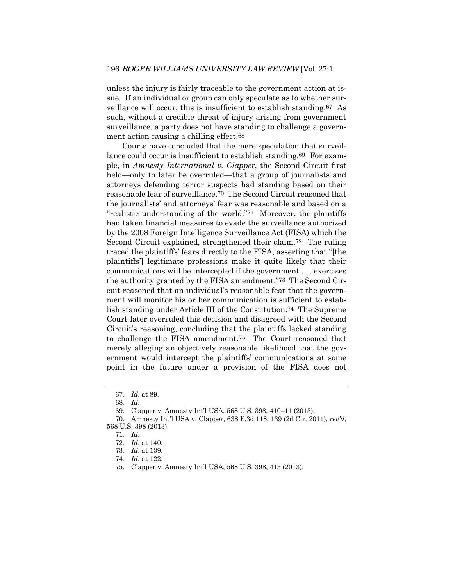unless the injury is fairly traceable to the government action at issue. If an individual or group can only speculate as to whether surveillance will occur, this is insufficient to establish standing.67 As such, without a credible threat of injury arising from government surveillance, a party does not have standing to challenge a government action causing a chilling effect.68

Courts have concluded that the mere speculation that surveillance could occur is insufficient to establish standing.<sup>69</sup> For example, in *Amnesty International v. Clapper*, the Second Circuit first held—only to later be overruled—that a group of journalists and attorneys defending terror suspects had standing based on their reasonable fear of surveillance.70 The Second Circuit reasoned that the journalists' and attorneys' fear was reasonable and based on a "realistic understanding of the world."71 Moreover, the plaintiffs had taken financial measures to evade the surveillance authorized by the 2008 Foreign Intelligence Surveillance Act (FISA) which the Second Circuit explained, strengthened their claim.72 The ruling traced the plaintiffs' fears directly to the FISA, asserting that "[the plaintiffs'] legitimate professions make it quite likely that their communications will be intercepted if the government . . . exercises the authority granted by the FISA amendment."73 The Second Circuit reasoned that an individual's reasonable fear that the government will monitor his or her communication is sufficient to establish standing under Article III of the Constitution.74 The Supreme Court later overruled this decision and disagreed with the Second Circuit's reasoning, concluding that the plaintiffs lacked standing to challenge the FISA amendment.75 The Court reasoned that merely alleging an objectively reasonable likelihood that the government would intercept the plaintiffs' communications at some point in the future under a provision of the FISA does not

<sup>67</sup>*. Id*. at 89.

<sup>68</sup>*. Id*.

<sup>69.</sup> Clapper v. Amnesty Int'l USA, 568 U.S. 398, 410–11 (2013).

<sup>70.</sup> Amnesty Int'l USA v. Clapper, 638 F.3d 118, 139 (2d Cir. 2011), *rev'd*, 568 U.S. 398 (2013).

<sup>71</sup>*. Id*.

<sup>72</sup>*. Id*. at 140.

<sup>73</sup>*. Id*. at 139.

<sup>74</sup>*. Id*. at 122.

<sup>75.</sup> Clapper v. Amnesty Int'l USA, 568 U.S. 398, 413 (2013).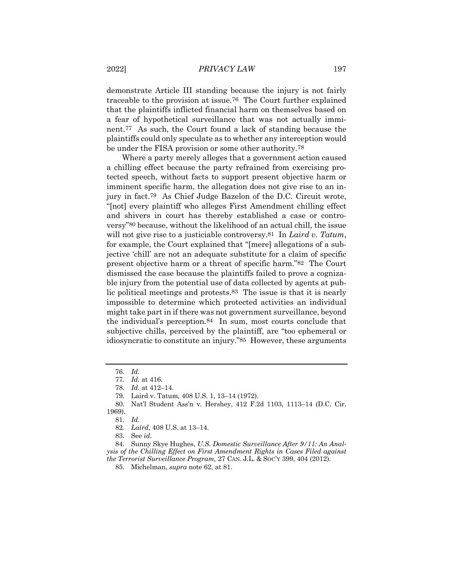demonstrate Article III standing because the injury is not fairly traceable to the provision at issue.76 The Court further explained that the plaintiffs inflicted financial harm on themselves based on a fear of hypothetical surveillance that was not actually imminent.77 As such, the Court found a lack of standing because the plaintiffs could only speculate as to whether any interception would be under the FISA provision or some other authority.78

Where a party merely alleges that a government action caused a chilling effect because the party refrained from exercising protected speech, without facts to support present objective harm or imminent specific harm, the allegation does not give rise to an injury in fact.79 As Chief Judge Bazelon of the D.C. Circuit wrote, "[not] every plaintiff who alleges First Amendment chilling effect and shivers in court has thereby established a case or controversy"80 because, without the likelihood of an actual chill, the issue will not give rise to a justiciable controversy.81 In *Laird v. Tatum*, for example, the Court explained that "[mere] allegations of a subjective 'chill' are not an adequate substitute for a claim of specific present objective harm or a threat of specific harm."82 The Court dismissed the case because the plaintiffs failed to prove a cognizable injury from the potential use of data collected by agents at public political meetings and protests.83 The issue is that it is nearly impossible to determine which protected activities an individual might take part in if there was not government surveillance, beyond the individual's perception.84 In sum, most courts conclude that subjective chills, perceived by the plaintiff, are "too ephemeral or idiosyncratic to constitute an injury."85 However, these arguments

84. Sunny Skye Hughes, *U.S. Domestic Surveillance After 9/11: An Analysis of the Chilling Effect on First Amendment Rights in Cases Filed against the Terrorist Surveillance Program,* 27 CAN. J.L. & SOC'Y 399, 404 (2012).

85. Michelman, *supra* note 62, at 81.

<sup>76</sup>*. Id.*

<sup>77</sup>*. Id.* at 416.

<sup>78</sup>*. Id.* at 412–14.

<sup>79.</sup> Laird v. Tatum*,* 408 U.S. 1, 13–14 (1972).

<sup>80.</sup> Nat'l Student Ass'n v. Hershey, 412 F.2d 1103, 1113–14 (D.C. Cir. 1969).

<sup>81</sup>*. Id.*

<sup>82</sup>*. Laird*, 408 U.S. at 13–14.

<sup>83.</sup> See *id*.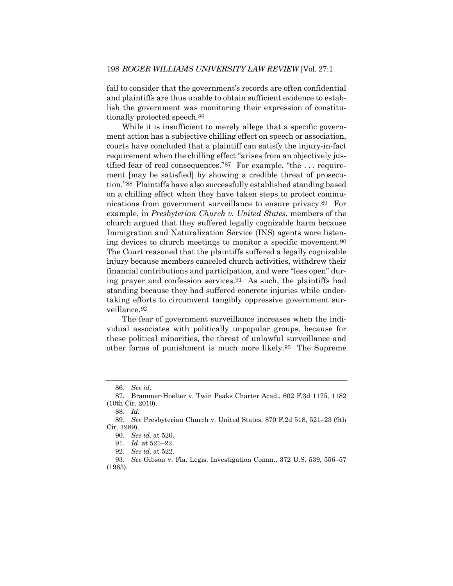fail to consider that the government's records are often confidential and plaintiffs are thus unable to obtain sufficient evidence to establish the government was monitoring their expression of constitutionally protected speech.86

While it is insufficient to merely allege that a specific government action has a subjective chilling effect on speech or association, courts have concluded that a plaintiff can satisfy the injury-in-fact requirement when the chilling effect "arises from an objectively justified fear of real consequences."87 For example, "the . . . requirement [may be satisfied] by showing a credible threat of prosecution."88 Plaintiffs have also successfully established standing based on a chilling effect when they have taken steps to protect communications from government surveillance to ensure privacy.89 For example, in *Presbyterian Church v. United States*, members of the church argued that they suffered legally cognizable harm because Immigration and Naturalization Service (INS) agents wore listening devices to church meetings to monitor a specific movement.90 The Court reasoned that the plaintiffs suffered a legally cognizable injury because members canceled church activities, withdrew their financial contributions and participation, and were "less open" during prayer and confession services.91 As such, the plaintiffs had standing because they had suffered concrete injuries while undertaking efforts to circumvent tangibly oppressive government surveillance.92

The fear of government surveillance increases when the individual associates with politically unpopular groups, because for these political minorities, the threat of unlawful surveillance and other forms of punishment is much more likely.93 The Supreme

<sup>86</sup>*. See id.*

<sup>87.</sup> Brammer-Hoelter v. Twin Peaks Charter Acad., 602 F.3d 1175, 1182 (10th Cir. 2010).

<sup>88</sup>*. Id.*

<sup>89</sup>*. See* Presbyterian Church v. United States, 870 F.2d 518, 521–23 (9th Cir. 1989).

<sup>90</sup>*. See id*. at 520.

<sup>91</sup>*. Id*. at 521–22.

<sup>92</sup>*. See id*. at 522.

<sup>93</sup>*. See* Gibson v. Fla. Legis. Investigation Comm., 372 U.S. 539, 556–57 (1963).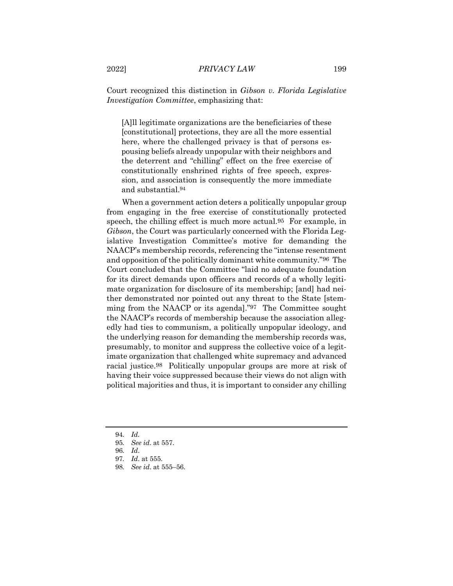Court recognized this distinction in *Gibson v. Florida Legislative Investigation Committee*, emphasizing that:

[A]ll legitimate organizations are the beneficiaries of these [constitutional] protections, they are all the more essential here, where the challenged privacy is that of persons espousing beliefs already unpopular with their neighbors and the deterrent and "chilling" effect on the free exercise of constitutionally enshrined rights of free speech, expression, and association is consequently the more immediate and substantial.94

When a government action deters a politically unpopular group from engaging in the free exercise of constitutionally protected speech, the chilling effect is much more actual.95 For example, in *Gibson*, the Court was particularly concerned with the Florida Legislative Investigation Committee's motive for demanding the NAACP's membership records, referencing the "intense resentment and opposition of the politically dominant white community."96 The Court concluded that the Committee "laid no adequate foundation for its direct demands upon officers and records of a wholly legitimate organization for disclosure of its membership; [and] had neither demonstrated nor pointed out any threat to the State [stemming from the NAACP or its agenda]."97 The Committee sought the NAACP's records of membership because the association allegedly had ties to communism, a politically unpopular ideology, and the underlying reason for demanding the membership records was, presumably, to monitor and suppress the collective voice of a legitimate organization that challenged white supremacy and advanced racial justice.98 Politically unpopular groups are more at risk of having their voice suppressed because their views do not align with political majorities and thus, it is important to consider any chilling

<sup>94</sup>*. Id.*

<sup>95</sup>*. See id*. at 557.

<sup>96</sup>*. Id*.

<sup>97</sup>*. Id*. at 555.

<sup>98</sup>*. See id*. at 555–56.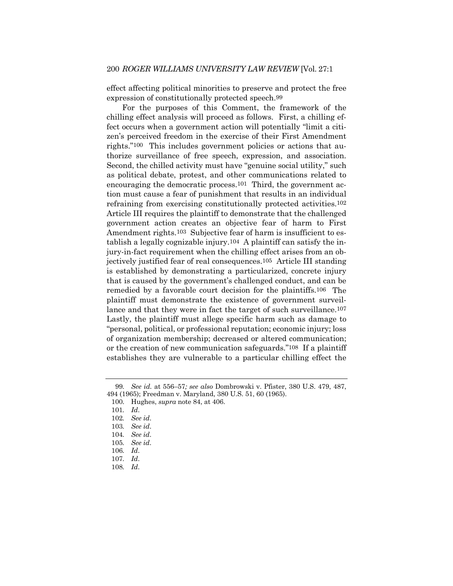effect affecting political minorities to preserve and protect the free expression of constitutionally protected speech.99

For the purposes of this Comment, the framework of the chilling effect analysis will proceed as follows. First, a chilling effect occurs when a government action will potentially "limit a citizen's perceived freedom in the exercise of their First Amendment rights."100 This includes government policies or actions that authorize surveillance of free speech, expression, and association. Second, the chilled activity must have "genuine social utility," such as political debate, protest, and other communications related to encouraging the democratic process.<sup>101</sup> Third, the government action must cause a fear of punishment that results in an individual refraining from exercising constitutionally protected activities.102 Article III requires the plaintiff to demonstrate that the challenged government action creates an objective fear of harm to First Amendment rights.<sup>103</sup> Subjective fear of harm is insufficient to establish a legally cognizable injury.104 A plaintiff can satisfy the injury-in-fact requirement when the chilling effect arises from an objectively justified fear of real consequences.105 Article III standing is established by demonstrating a particularized, concrete injury that is caused by the government's challenged conduct, and can be remedied by a favorable court decision for the plaintiffs.106 The plaintiff must demonstrate the existence of government surveillance and that they were in fact the target of such surveillance.<sup>107</sup> Lastly, the plaintiff must allege specific harm such as damage to "personal, political, or professional reputation; economic injury; loss of organization membership; decreased or altered communication; or the creation of new communication safeguards."108 If a plaintiff establishes they are vulnerable to a particular chilling effect the

<sup>99</sup>*. See id.* at 556–57*; see also* Dombrowski v. Pfister, 380 U.S. 479, 487, 494 (1965); Freedman v. Maryland, 380 U.S. 51, 60 (1965).

<sup>100.</sup> Hughes, *supra* note 84, at 406.

<sup>101</sup>*. Id*.

<sup>102</sup>*. See id*.

<sup>103</sup>*. See id*.

<sup>104</sup>*. See id*.

<sup>105</sup>*. See id*.

<sup>106</sup>*. Id*.

<sup>107</sup>*. Id*.

<sup>108</sup>*. Id*.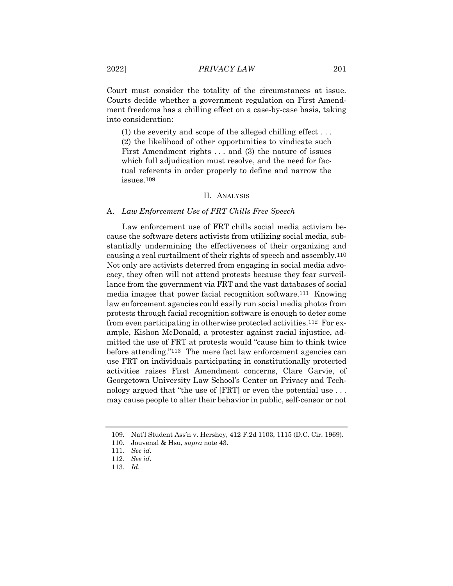Court must consider the totality of the circumstances at issue. Courts decide whether a government regulation on First Amendment freedoms has a chilling effect on a case-by-case basis, taking into consideration:

(1) the severity and scope of the alleged chilling effect . . . (2) the likelihood of other opportunities to vindicate such First Amendment rights . . . and (3) the nature of issues which full adjudication must resolve, and the need for factual referents in order properly to define and narrow the issues.109

## II. ANALYSIS

#### A. *Law Enforcement Use of FRT Chills Free Speech*

Law enforcement use of FRT chills social media activism because the software deters activists from utilizing social media, substantially undermining the effectiveness of their organizing and causing a real curtailment of their rights of speech and assembly.110 Not only are activists deterred from engaging in social media advocacy, they often will not attend protests because they fear surveillance from the government via FRT and the vast databases of social media images that power facial recognition software.111 Knowing law enforcement agencies could easily run social media photos from protests through facial recognition software is enough to deter some from even participating in otherwise protected activities.112 For example, Kishon McDonald, a protester against racial injustice, admitted the use of FRT at protests would "cause him to think twice before attending."113 The mere fact law enforcement agencies can use FRT on individuals participating in constitutionally protected activities raises First Amendment concerns, Clare Garvie, of Georgetown University Law School's Center on Privacy and Technology argued that "the use of [FRT] or even the potential use . . . may cause people to alter their behavior in public, self-censor or not

<sup>109.</sup> Nat'l Student Ass'n v. Hershey, 412 F.2d 1103, 1115 (D.C. Cir. 1969).

<sup>110.</sup> Jouvenal & Hsu, *supra* note 43.

<sup>111</sup>*. See id*.

<sup>112</sup>*. See id*.

<sup>113</sup>*. Id*.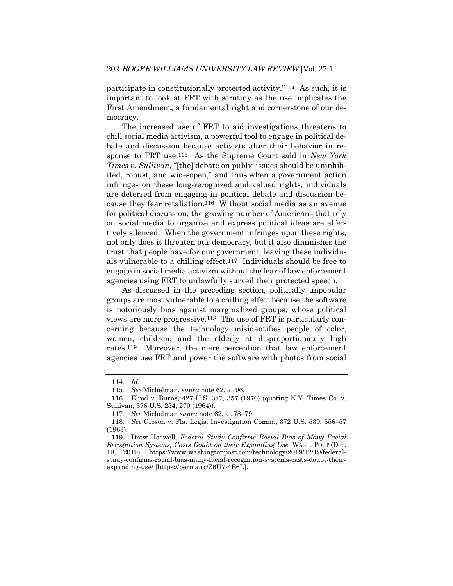participate in constitutionally protected activity."114 As such, it is important to look at FRT with scrutiny as the use implicates the First Amendment, a fundamental right and cornerstone of our democracy.

The increased use of FRT to aid investigations threatens to chill social media activism, a powerful tool to engage in political debate and discussion because activists alter their behavior in response to FRT use.115 As the Supreme Court said in *New York Times v. Sullivan*, "[the] debate on public issues should be uninhibited, robust, and wide-open," and thus when a government action infringes on these long-recognized and valued rights, individuals are deterred from engaging in political debate and discussion because they fear retaliation.116 Without social media as an avenue for political discussion, the growing number of Americans that rely on social media to organize and express political ideas are effectively silenced. When the government infringes upon these rights, not only does it threaten our democracy, but it also diminishes the trust that people have for our government, leaving these individuals vulnerable to a chilling effect.117 Individuals should be free to engage in social media activism without the fear of law enforcement agencies using FRT to unlawfully surveil their protected speech.

As discussed in the preceding section, politically unpopular groups are most vulnerable to a chilling effect because the software is notoriously bias against marginalized groups, whose political views are more progressive.118 The use of FRT is particularly concerning because the technology misidentifies people of color, women, children, and the elderly at disproportionately high rates.119 Moreover, the mere perception that law enforcement agencies use FRT and power the software with photos from social

<sup>114</sup>*. Id*.

<sup>115</sup>*. See* Michelman, *supra* note 62, at 96.

<sup>116.</sup> Elrod v. Burns, 427 U.S. 347, 357 (1976) (quoting N.Y. Times Co. v. Sullivan, 376 U.S. 254, 270 (1964)).

<sup>117</sup>*. See* Michelman *supra* note 62, at 78–79.

<sup>118</sup>*. See* Gibson v. Fla. Legis. Investigation Comm., 372 U.S. 539, 556–57 (1963).

<sup>119.</sup> Drew Harwell, *Federal Study Confirms Racial Bias of Many Facial Recognition Systems, Casts Doubt on their Expanding Use*, WASH. POST (Dec. 19, 2019), https://www.washingtonpost.com/technology/2019/12/19/federalstudy-confirms-racial-bias-many-facial-recognition-systems-casts-doubt-theirexpanding-use/ [https://perma.cc/Z6U7-4E6L].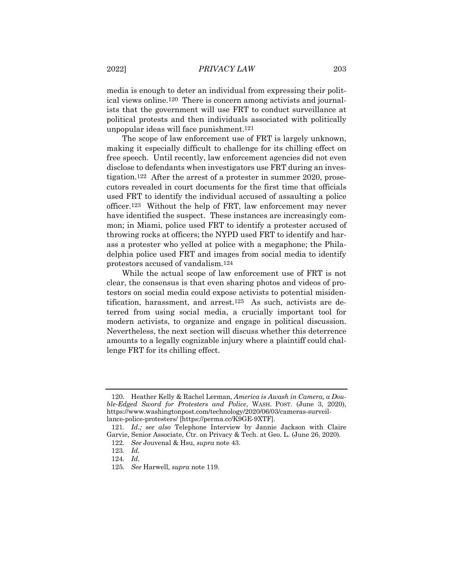media is enough to deter an individual from expressing their political views online.120 There is concern among activists and journalists that the government will use FRT to conduct surveillance at political protests and then individuals associated with politically unpopular ideas will face punishment.121

The scope of law enforcement use of FRT is largely unknown, making it especially difficult to challenge for its chilling effect on free speech. Until recently, law enforcement agencies did not even disclose to defendants when investigators use FRT during an investigation.122 After the arrest of a protester in summer 2020, prosecutors revealed in court documents for the first time that officials used FRT to identify the individual accused of assaulting a police officer.123 Without the help of FRT, law enforcement may never have identified the suspect. These instances are increasingly common; in Miami, police used FRT to identify a protester accused of throwing rocks at officers; the NYPD used FRT to identify and harass a protester who yelled at police with a megaphone; the Philadelphia police used FRT and images from social media to identify protestors accused of vandalism.124

While the actual scope of law enforcement use of FRT is not clear, the consensus is that even sharing photos and videos of protestors on social media could expose activists to potential misidentification, harassment, and arrest.125 As such, activists are deterred from using social media, a crucially important tool for modern activists, to organize and engage in political discussion. Nevertheless, the next section will discuss whether this deterrence amounts to a legally cognizable injury where a plaintiff could challenge FRT for its chilling effect.

<sup>120.</sup> Heather Kelly & Rachel Lerman, *America is Awash in Camera, a Double-Edged Sword for Protesters and Police*, WASH. POST. (June 3, 2020), https://www.washingtonpost.com/technology/2020/06/03/cameras-surveillance-police-protesters/ [https://perma.cc/K9GE-9XTF].

<sup>121</sup>*. Id.; see also* Telephone Interview by Jannie Jackson with Claire Garvie, Senior Associate, Ctr. on Privacy & Tech. at Geo. L. (June 26, 2020)*.*

<sup>122</sup>*. See* Jouvenal & Hsu, *supra* note 43.

<sup>123</sup>*. Id.*

<sup>124</sup>*. Id.*

<sup>125</sup>*. See* Harwell, *supra* note 119.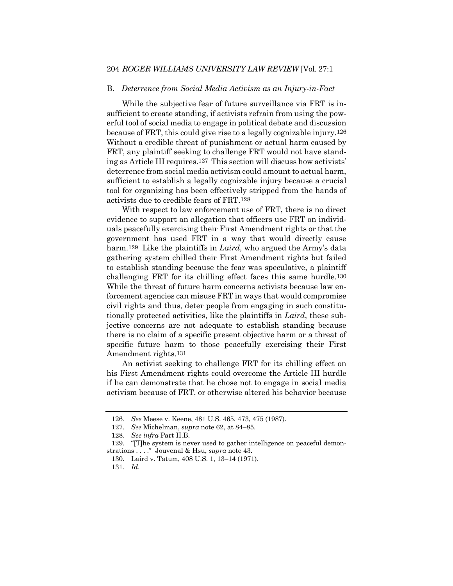## 204 *ROGER WILLIAMS UNIVERSITY LAW REVIEW* [Vol. 27:1

#### B. *Deterrence from Social Media Activism as an Injury-in-Fact*

While the subjective fear of future surveillance via FRT is insufficient to create standing, if activists refrain from using the powerful tool of social media to engage in political debate and discussion because of FRT, this could give rise to a legally cognizable injury.126 Without a credible threat of punishment or actual harm caused by FRT, any plaintiff seeking to challenge FRT would not have standing as Article III requires.127 This section will discuss how activists' deterrence from social media activism could amount to actual harm, sufficient to establish a legally cognizable injury because a crucial tool for organizing has been effectively stripped from the hands of activists due to credible fears of FRT.128

With respect to law enforcement use of FRT, there is no direct evidence to support an allegation that officers use FRT on individuals peacefully exercising their First Amendment rights or that the government has used FRT in a way that would directly cause harm.129 Like the plaintiffs in *Laird*, who argued the Army's data gathering system chilled their First Amendment rights but failed to establish standing because the fear was speculative, a plaintiff challenging FRT for its chilling effect faces this same hurdle.130 While the threat of future harm concerns activists because law enforcement agencies can misuse FRT in ways that would compromise civil rights and thus, deter people from engaging in such constitutionally protected activities, like the plaintiffs in *Laird*, these subjective concerns are not adequate to establish standing because there is no claim of a specific present objective harm or a threat of specific future harm to those peacefully exercising their First Amendment rights.131

An activist seeking to challenge FRT for its chilling effect on his First Amendment rights could overcome the Article III hurdle if he can demonstrate that he chose not to engage in social media activism because of FRT, or otherwise altered his behavior because

<sup>126</sup>*. See* Meese v. Keene, 481 U.S. 465, 473, 475 (1987).

<sup>127.</sup> *See* Michelman, *supra* note 62, at 84–85.

<sup>128</sup>*. See infra* Part II.B.

<sup>129.</sup> "[T]he system is never used to gather intelligence on peaceful demonstrations . . . ." Jouvenal & Hsu, *supra* note 43.

<sup>130.</sup> Laird v. Tatum, 408 U.S. 1, 13–14 (1971).

<sup>131</sup>*. Id*.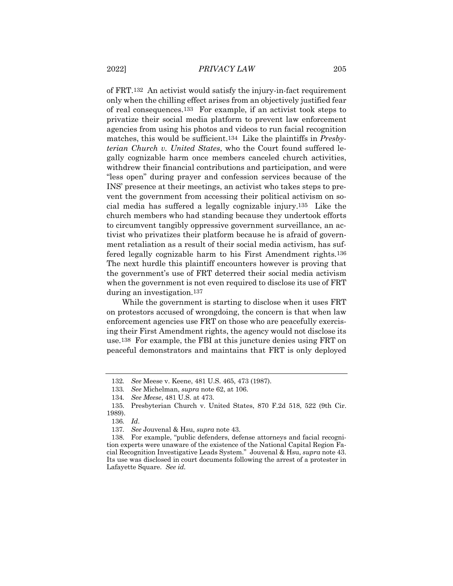of FRT.132 An activist would satisfy the injury-in-fact requirement only when the chilling effect arises from an objectively justified fear of real consequences.133 For example, if an activist took steps to privatize their social media platform to prevent law enforcement agencies from using his photos and videos to run facial recognition matches, this would be sufficient.134 Like the plaintiffs in *Presbyterian Church v. United States*, who the Court found suffered legally cognizable harm once members canceled church activities, withdrew their financial contributions and participation, and were "less open" during prayer and confession services because of the INS' presence at their meetings, an activist who takes steps to prevent the government from accessing their political activism on social media has suffered a legally cognizable injury.135 Like the church members who had standing because they undertook efforts to circumvent tangibly oppressive government surveillance, an activist who privatizes their platform because he is afraid of government retaliation as a result of their social media activism, has suffered legally cognizable harm to his First Amendment rights.136 The next hurdle this plaintiff encounters however is proving that the government's use of FRT deterred their social media activism when the government is not even required to disclose its use of FRT during an investigation.137

While the government is starting to disclose when it uses FRT on protestors accused of wrongdoing, the concern is that when law enforcement agencies use FRT on those who are peacefully exercising their First Amendment rights, the agency would not disclose its use.138 For example, the FBI at this juncture denies using FRT on peaceful demonstrators and maintains that FRT is only deployed

<sup>132</sup>*. See* Meese v. Keene, 481 U.S. 465, 473 (1987).

<sup>133</sup>*. See* Michelman, *supra* note 62, at 106.

<sup>134</sup>*. See Meese*, 481 U.S. at 473.

<sup>135.</sup> Presbyterian Church v. United States, 870 F.2d 518, 522 (9th Cir. 1989).

<sup>136</sup>*. Id*.

<sup>137</sup>*. See* Jouvenal & Hsu, *supra* note 43.

<sup>138.</sup> For example, "public defenders, defense attorneys and facial recognition experts were unaware of the existence of the National Capital Region Facial Recognition Investigative Leads System." Jouvenal & Hsu, *supra* note 43. Its use was disclosed in court documents following the arrest of a protester in Lafayette Square. *See id.*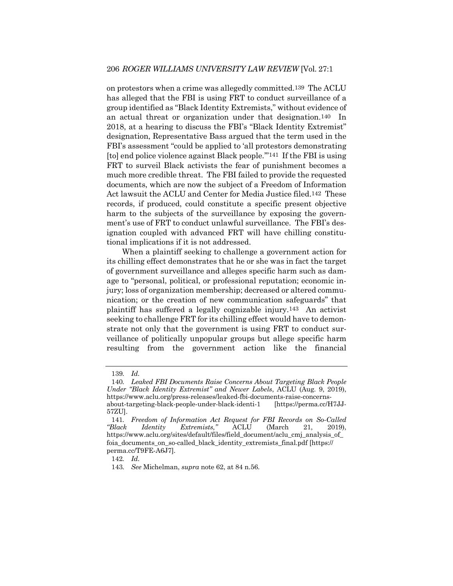on protestors when a crime was allegedly committed.139 The ACLU has alleged that the FBI is using FRT to conduct surveillance of a group identified as "Black Identity Extremists," without evidence of an actual threat or organization under that designation.140 In 2018, at a hearing to discuss the FBI's "Black Identity Extremist" designation, Representative Bass argued that the term used in the FBI's assessment "could be applied to 'all protestors demonstrating [to] end police violence against Black people.'"141 If the FBI is using FRT to surveil Black activists the fear of punishment becomes a much more credible threat. The FBI failed to provide the requested documents, which are now the subject of a Freedom of Information Act lawsuit the ACLU and Center for Media Justice filed.142 These records, if produced, could constitute a specific present objective harm to the subjects of the surveillance by exposing the government's use of FRT to conduct unlawful surveillance. The FBI's designation coupled with advanced FRT will have chilling constitutional implications if it is not addressed.

When a plaintiff seeking to challenge a government action for its chilling effect demonstrates that he or she was in fact the target of government surveillance and alleges specific harm such as damage to "personal, political, or professional reputation; economic injury; loss of organization membership; decreased or altered communication; or the creation of new communication safeguards" that plaintiff has suffered a legally cognizable injury.143 An activist seeking to challenge FRT for its chilling effect would have to demonstrate not only that the government is using FRT to conduct surveillance of politically unpopular groups but allege specific harm resulting from the government action like the financial

<sup>139</sup>*. Id.*

<sup>140</sup>*. Leaked FBI Documents Raise Concerns About Targeting Black People Under "Black Identity Extremist" and Newer Labels*, ACLU (Aug. 9, 2019), https://www.aclu.org/press-releases/leaked-fbi-documents-raise-concernsabout-targeting-black-people-under-black-identi-1 [https://perma.cc/H7JJ-57ZU].

<sup>141</sup>*. Freedom of Information Act Request for FBI Records on So-Called "Black Identity Extremists,"* ACLU (March 21, 2019), https://www.aclu.org/sites/default/files/field\_document/aclu\_cmj\_analysis\_of\_ foia\_documents\_on\_so-called\_black\_identity\_extremists\_final.pdf [https:// perma.cc/T9FE-A6J7].

<sup>142</sup>*. Id.*

<sup>143</sup>*. See* Michelman, *supra* note 62, at 84 n.56.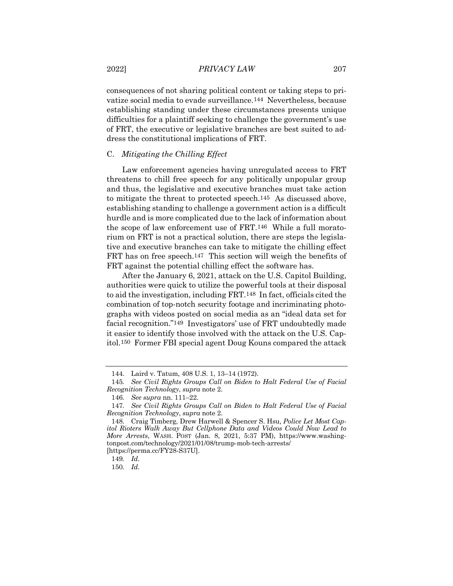consequences of not sharing political content or taking steps to privatize social media to evade surveillance.144 Nevertheless, because establishing standing under these circumstances presents unique difficulties for a plaintiff seeking to challenge the government's use of FRT, the executive or legislative branches are best suited to address the constitutional implications of FRT.

### C. *Mitigating the Chilling Effect*

Law enforcement agencies having unregulated access to FRT threatens to chill free speech for any politically unpopular group and thus, the legislative and executive branches must take action to mitigate the threat to protected speech.145 As discussed above, establishing standing to challenge a government action is a difficult hurdle and is more complicated due to the lack of information about the scope of law enforcement use of FRT.146 While a full moratorium on FRT is not a practical solution, there are steps the legislative and executive branches can take to mitigate the chilling effect FRT has on free speech.147 This section will weigh the benefits of FRT against the potential chilling effect the software has.

After the January 6, 2021, attack on the U.S. Capitol Building, authorities were quick to utilize the powerful tools at their disposal to aid the investigation, including FRT.148 In fact, officials cited the combination of top-notch security footage and incriminating photographs with videos posted on social media as an "ideal data set for facial recognition."149 Investigators' use of FRT undoubtedly made it easier to identify those involved with the attack on the U.S. Capitol.150 Former FBI special agent Doug Kouns compared the attack

<sup>144.</sup> Laird v. Tatum, 408 U.S. 1, 13–14 (1972).

<sup>145</sup>*. See Civil Rights Groups Call on Biden to Halt Federal Use of Facial Recognition Technology*, *supra* note 2.

<sup>146</sup>*. See supra* nn. 111–22.

<sup>147</sup>*. See Civil Rights Groups Call on Biden to Halt Federal Use of Facial Recognition Technology*, *supra* note 2.

<sup>148.</sup> Craig Timberg, Drew Harwell & Spencer S. Hsu, *Police Let Most Capitol Rioters Walk Away But Cellphone Data and Videos Could Now Lead to More Arrests*, WASH. POST (Jan. 8, 2021, 5:37 PM), https://www.washingtonpost.com/technology/2021/01/08/trump-mob-tech-arrests/ [https://perma.cc/FY28-S37U].

<sup>149</sup>*. Id.*

<sup>150</sup>*. Id.*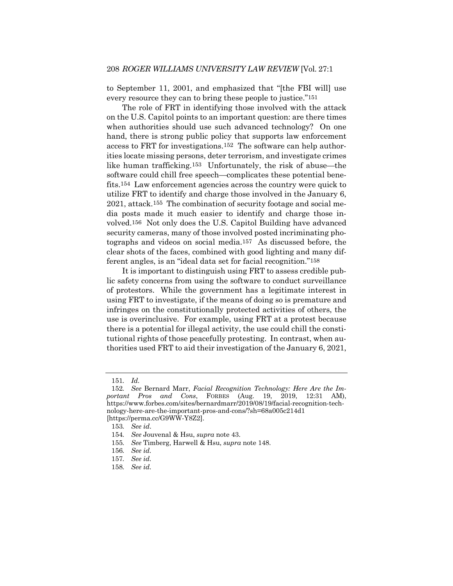to September 11, 2001, and emphasized that "[the FBI will] use every resource they can to bring these people to justice."151

The role of FRT in identifying those involved with the attack on the U.S. Capitol points to an important question: are there times when authorities should use such advanced technology? On one hand, there is strong public policy that supports law enforcement access to FRT for investigations.152 The software can help authorities locate missing persons, deter terrorism, and investigate crimes like human trafficking.153 Unfortunately, the risk of abuse—the software could chill free speech—complicates these potential benefits.154 Law enforcement agencies across the country were quick to utilize FRT to identify and charge those involved in the January 6, 2021, attack.155 The combination of security footage and social media posts made it much easier to identify and charge those involved.156 Not only does the U.S. Capitol Building have advanced security cameras, many of those involved posted incriminating photographs and videos on social media.157 As discussed before, the clear shots of the faces, combined with good lighting and many different angles, is an "ideal data set for facial recognition."158

It is important to distinguish using FRT to assess credible public safety concerns from using the software to conduct surveillance of protestors. While the government has a legitimate interest in using FRT to investigate, if the means of doing so is premature and infringes on the constitutionally protected activities of others, the use is overinclusive. For example, using FRT at a protest because there is a potential for illegal activity, the use could chill the constitutional rights of those peacefully protesting. In contrast, when authorities used FRT to aid their investigation of the January 6, 2021,

155*. See* Timberg, Harwell & Hsu, *supra* note 148.

<sup>151</sup>*. Id.*

<sup>152</sup>*. See* Bernard Marr, *Facial Recognition Technology: Here Are the Important Pros and Cons*, FORBES (Aug. 19, 2019, 12:31 AM), https://www.forbes.com/sites/bernardmarr/2019/08/19/facial-recognition-technology-here-are-the-important-pros-and-cons/?sh=68a005c214d1 [https://perma.cc/G9WW-Y8Z2].

<sup>153</sup>*. See id*.

<sup>154</sup>*. See* Jouvenal & Hsu, *supra* note 43.

<sup>156</sup>*. See id.*

<sup>157</sup>*. See id.*

<sup>158</sup>*. See id.*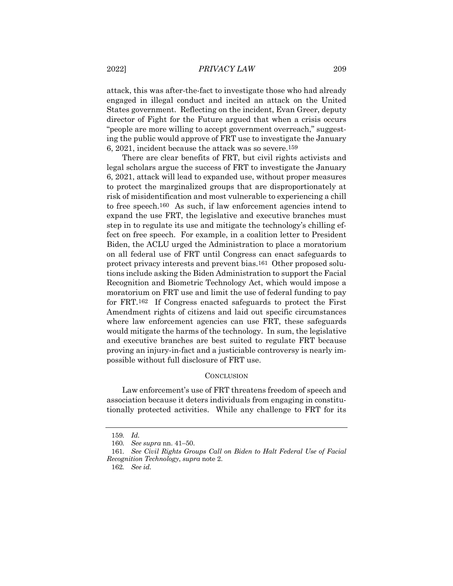attack, this was after-the-fact to investigate those who had already engaged in illegal conduct and incited an attack on the United States government. Reflecting on the incident, Evan Greer, deputy director of Fight for the Future argued that when a crisis occurs "people are more willing to accept government overreach," suggesting the public would approve of FRT use to investigate the January 6, 2021, incident because the attack was so severe.159

There are clear benefits of FRT, but civil rights activists and legal scholars argue the success of FRT to investigate the January 6, 2021, attack will lead to expanded use, without proper measures to protect the marginalized groups that are disproportionately at risk of misidentification and most vulnerable to experiencing a chill to free speech.160 As such, if law enforcement agencies intend to expand the use FRT, the legislative and executive branches must step in to regulate its use and mitigate the technology's chilling effect on free speech. For example, in a coalition letter to President Biden, the ACLU urged the Administration to place a moratorium on all federal use of FRT until Congress can enact safeguards to protect privacy interests and prevent bias.161 Other proposed solutions include asking the Biden Administration to support the Facial Recognition and Biometric Technology Act, which would impose a moratorium on FRT use and limit the use of federal funding to pay for FRT.162 If Congress enacted safeguards to protect the First Amendment rights of citizens and laid out specific circumstances where law enforcement agencies can use FRT, these safeguards would mitigate the harms of the technology. In sum, the legislative and executive branches are best suited to regulate FRT because proving an injury-in-fact and a justiciable controversy is nearly impossible without full disclosure of FRT use.

#### **CONCLUSION**

Law enforcement's use of FRT threatens freedom of speech and association because it deters individuals from engaging in constitutionally protected activities. While any challenge to FRT for its

<sup>159</sup>*. Id.*

<sup>160</sup>*. See supra* nn. 41–50.

<sup>161</sup>*. See Civil Rights Groups Call on Biden to Halt Federal Use of Facial Recognition Technology*, *supra* note 2.

<sup>162</sup>*. See id.*